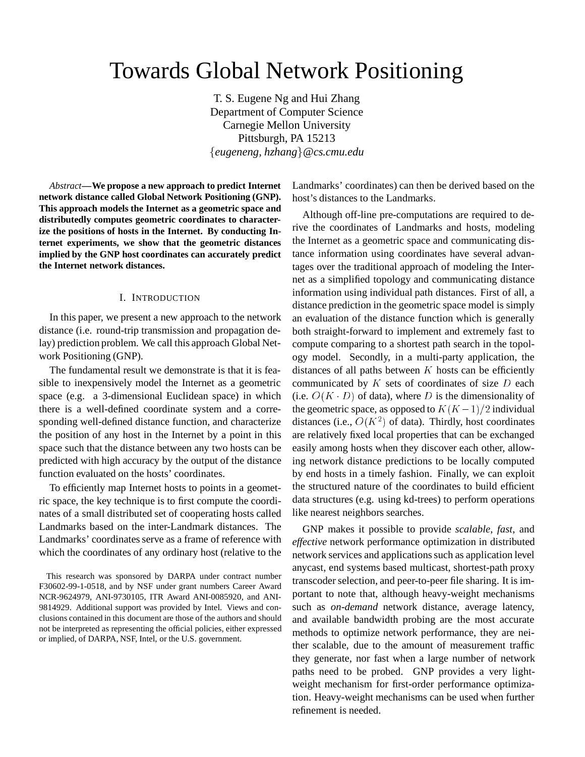# Towards Global Network Positioning

T. S. Eugene Ng and Hui Zhang Department of Computer Science Carnegie Mellon University Pittsburgh, PA 15213 f*eugeneng, hzhang*g*@cs.cmu.edu*

*Abstract***—We propose a new approach to predict Internet network distance called Global Network Positioning (GNP). This approach models the Internet as a geometric space and distributedly computes geometric coordinates to characterize the positions of hosts in the Internet. By conducting Internet experiments, we show that the geometric distances implied by the GNP host coordinates can accurately predict the Internet network distances.**

#### I. INTRODUCTION

In this paper, we present a new approach to the network distance (i.e. round-trip transmission and propagation delay) prediction problem. We call this approach Global Network Positioning (GNP).

The fundamental result we demonstrate is that it is feasible to inexpensively model the Internet as a geometric space (e.g. a 3-dimensional Euclidean space) in which there is a well-defined coordinate system and a corresponding well-defined distance function, and characterize the position of any host in the Internet by a point in this space such that the distance between any two hosts can be predicted with high accuracy by the output of the distance function evaluated on the hosts' coordinates.

To efficiently map Internet hosts to points in a geometric space, the key technique is to first compute the coordinates of a small distributed set of cooperating hosts called Landmarks based on the inter-Landmark distances. The Landmarks' coordinates serve as a frame of reference with which the coordinates of any ordinary host (relative to the

Landmarks' coordinates) can then be derived based on the host's distances to the Landmarks.

Although off-line pre-computations are required to derive the coordinates of Landmarks and hosts, modeling the Internet as a geometric space and communicating distance information using coordinates have several advantages over the traditional approach of modeling the Internet as a simplified topology and communicating distance information using individual path distances. First of all, a distance prediction in the geometric space model is simply an evaluation of the distance function which is generally both straight-forward to implement and extremely fast to compute comparing to a shortest path search in the topology model. Secondly, in a multi-party application, the distances of all paths between  $K$  hosts can be efficiently communicated by  $K$  sets of coordinates of size  $D$  each (i.e.  $O(K \cdot D)$  of data), where D is the dimensionality of the geometric space, as opposed to  $K(K-1)/2$  individual distances (i.e.,  $O(K^2)$  of data). Thirdly, host coordinates are relatively fixed local properties that can be exchanged easily among hosts when they discover each other, allowing network distance predictions to be locally computed by end hosts in a timely fashion. Finally, we can exploit the structured nature of the coordinates to build efficient data structures (e.g. using kd-trees) to perform operations like nearest neighbors searches.

GNP makes it possible to provide *scalable*, *fast*, and *effective* network performance optimization in distributed network services and applications such as application level anycast, end systems based multicast, shortest-path proxy transcoder selection, and peer-to-peer file sharing. It is important to note that, although heavy-weight mechanisms such as *on-demand* network distance, average latency, and available bandwidth probing are the most accurate methods to optimize network performance, they are neither scalable, due to the amount of measurement traffic they generate, nor fast when a large number of network paths need to be probed. GNP provides a very lightweight mechanism for first-order performance optimization. Heavy-weight mechanisms can be used when further refinement is needed.

This research was sponsored by DARPA under contract number F30602-99-1-0518, and by NSF under grant numbers Career Award NCR-9624979, ANI-9730105, ITR Award ANI-0085920, and ANI-9814929. Additional support was provided by Intel. Views and conclusions contained in this document are those of the authors and should not be interpreted as representing the official policies, either expressed or implied, of DARPA, NSF, Intel, or the U.S. government.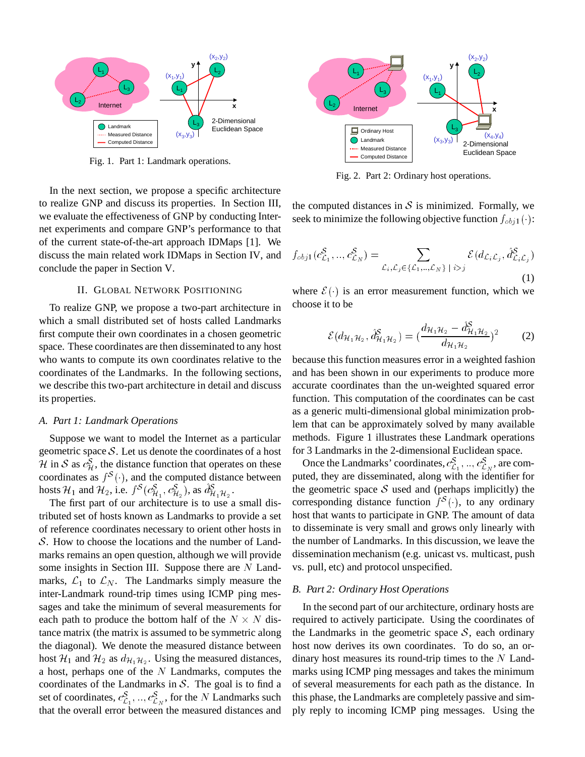

Fig. 1. Part 1: Landmark operations.

In the next section, we propose a specific architecture to realize GNP and discuss its properties. In Section III, we evaluate the effectiveness of GNP by conducting Internet experiments and compare GNP's performance to that of the current state-of-the-art approach IDMaps [1]. We discuss the main related work IDMaps in Section IV, and conclude the paper in Section V.

## II. GLOBAL NETWORK POSITIONING

To realize GNP, we propose a two-part architecture in which a small distributed set of hosts called Landmarks first compute their own coordinates in a chosen geometric space. These coordinates are then disseminated to any host who wants to compute its own coordinates relative to the coordinates of the Landmarks. In the following sections, we describe this two-part architecture in detail and discuss its properties.

## *A. Part 1: Landmark Operations*

Suppose we want to model the Internet as a particular geometric space  $S$ . Let us denote the coordinates of a host  $\mathcal{H}$  in S as  $c_{\mathcal{H}}^{S}$ , the distance function that operates on these coordinates as  $f^{\mathcal{S}}(\cdot)$ , and the computed distance between hosts  $\mathcal{H}_1$  and  $\mathcal{H}_2$ , i.e.  $f^S(c^S_{\mathcal{H}_1}, c^S_{\mathcal{H}_2})$ , as  $d^S_{\mathcal{H}_1\mathcal{H}_2}$ .

The first part of our architecture is to use a small distributed set of hosts known as Landmarks to provide a set of reference coordinates necessary to orient other hosts in S. How to choose the locations and the number of Landmarks remains an open question, although we will provide some insights in Section III. Suppose there are  $N$  Landmarks,  $\mathcal{L}_1$  to  $\mathcal{L}_N$ . The Landmarks simply measure the inter-Landmark round-trip times using ICMP ping messages and take the minimum of several measurements for each path to produce the bottom half of the  $N \times N$  distance matrix (the matrix is assumed to be symmetric along the diagonal). We denote the measured distance between host  $\mathcal{H}_1$  and  $\mathcal{H}_2$  as  $d_{\mathcal{H}_1\mathcal{H}_2}$ . Using the measured distances, a host, perhaps one of the  $N$  Landmarks, computes the coordinates of the Landmarks in  $S$ . The goal is to find a set of coordinates,  $c_{\mathcal{L}_1}^S$ , ...,  $c_{\mathcal{L}_N}^S$ , for the N Landmarks such that the overall error between the measured distances and



Fig. 2. Part 2: Ordinary host operations.

the computed distances in  $S$  is minimized. Formally, we seek to minimize the following objective function  $f_{obj1}(\cdot)$ :

$$
f_{obj1}(c_{\mathcal{L}_1}^{\mathcal{S}},..,c_{\mathcal{L}_N}^{\mathcal{S}}) = \sum_{\mathcal{L}_i,\mathcal{L}_j \in {\{\mathcal{L}_1,..,\mathcal{L}_N\}} \; | \; i > j} \mathcal{E}(d_{\mathcal{L}_i\mathcal{L}_j}, \hat{d}_{\mathcal{L}_i\mathcal{L}_j}^{\mathcal{S}})
$$
(1)

where  $\mathcal{E}(\cdot)$  is an error measurement function, which we choose it to be

$$
\mathcal{E}(d_{\mathcal{H}_1\mathcal{H}_2}, \hat{d}_{\mathcal{H}_1\mathcal{H}_2}^{\mathcal{S}}) = (\frac{d_{\mathcal{H}_1\mathcal{H}_2} - d_{\mathcal{H}_1\mathcal{H}_2}^{\mathcal{S}}}{d_{\mathcal{H}_1\mathcal{H}_2}})^2
$$
(2)

because this function measures error in a weighted fashion and has been shown in our experiments to produce more accurate coordinates than the un-weighted squared error function. This computation of the coordinates can be cast as a generic multi-dimensional global minimization problem that can be approximately solved by many available methods. Figure 1 illustrates these Landmark operations for 3 Landmarks in the 2-dimensional Euclidean space.

Once the Landmarks' coordinates,  $c_{\ell_1}^S, ..., c_{\ell_N}^S$ , are computed, they are disseminated, along with the identifier for the geometric space  $S$  used and (perhaps implicitly) the corresponding distance function  $f^S(\cdot)$ , to any ordinary host that wants to participate in GNP. The amount of data to disseminate is very small and grows only linearly with the number of Landmarks. In this discussion, we leave the dissemination mechanism (e.g. unicast vs. multicast, push vs. pull, etc) and protocol unspecified.

#### *B. Part 2: Ordinary Host Operations*

In the second part of our architecture, ordinary hosts are required to actively participate. Using the coordinates of the Landmarks in the geometric space  $S$ , each ordinary host now derives its own coordinates. To do so, an ordinary host measures its round-trip times to the  $N$  Landmarks using ICMP ping messages and takes the minimum of several measurements for each path as the distance. In this phase, the Landmarks are completely passive and simply reply to incoming ICMP ping messages. Using the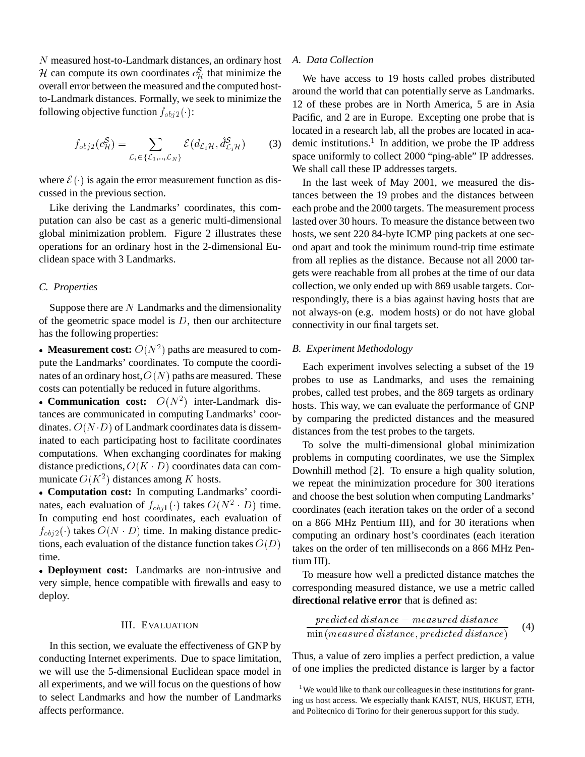<sup>N</sup> measured host-to-Landmark distances, an ordinary host *H* can compute its own coordinates  $c_{\mathcal{H}}^{S}$  that minimize the overall error between the measured and the computed hostto-Landmark distances. Formally, we seek to minimize the following objective function  $f_{obj2}(\cdot)$ :

$$
f_{obj2}(c_H^S) = \sum_{\mathcal{L}_i \in \{\mathcal{L}_1, ..., \mathcal{L}_N\}} \mathcal{E}(d_{\mathcal{L}_i\mathcal{H}}, \hat{d}_{\mathcal{L}_i\mathcal{H}}^S)
$$
(3)

where  $\mathcal{E}(\cdot)$  is again the error measurement function as discussed in the previous section.

Like deriving the Landmarks' coordinates, this computation can also be cast as a generic multi-dimensional global minimization problem. Figure 2 illustrates these operations for an ordinary host in the 2-dimensional Euclidean space with 3 Landmarks.

## *C. Properties*

Suppose there are  $N$  Landmarks and the dimensionality of the geometric space model is  $D$ , then our architecture has the following properties:

• **Measurement cost:**  $O(N^2)$  paths are measured to compute the Landmarks' coordinates. To compute the coordinates of an ordinary host,  $O(N)$  paths are measured. These costs can potentially be reduced in future algorithms.

• **Communication cost:**  $O(N^2)$  inter-Landmark distances are communicated in computing Landmarks' coordinates.  $O(N \cdot D)$  of Landmark coordinates data is disseminated to each participating host to facilitate coordinates computations. When exchanging coordinates for making distance predictions,  $O(K \cdot D)$  coordinates data can communicate  $O(K^2)$  distances among K hosts.

 **Computation cost:** In computing Landmarks' coordinates, each evaluation of  $f_{obj1}(\cdot)$  takes  $O(N^2 \cdot D)$  time. In computing end host coordinates, each evaluation of  $f_{obj2}(\cdot)$  takes  $O(N \cdot D)$  time. In making distance predictions, each evaluation of the distance function takes  $O(D)$ time.

 **Deployment cost:** Landmarks are non-intrusive and very simple, hence compatible with firewalls and easy to deploy.

#### III. EVALUATION

In this section, we evaluate the effectiveness of GNP by conducting Internet experiments. Due to space limitation, we will use the 5-dimensional Euclidean space model in all experiments, and we will focus on the questions of how to select Landmarks and how the number of Landmarks affects performance.

## *A. Data Collection*

We have access to 19 hosts called probes distributed around the world that can potentially serve as Landmarks. 12 of these probes are in North America, 5 are in Asia Pacific, and 2 are in Europe. Excepting one probe that is located in a research lab, all the probes are located in academic institutions.<sup>1</sup> In addition, we probe the IP address space uniformly to collect 2000 "ping-able" IP addresses. We shall call these IP addresses targets.

In the last week of May 2001, we measured the distances between the 19 probes and the distances between each probe and the 2000 targets. The measurement process lasted over 30 hours. To measure the distance between two hosts, we sent 220 84-byte ICMP ping packets at one second apart and took the minimum round-trip time estimate from all replies as the distance. Because not all 2000 targets were reachable from all probes at the time of our data collection, we only ended up with 869 usable targets. Correspondingly, there is a bias against having hosts that are not always-on (e.g. modem hosts) or do not have global connectivity in our final targets set.

#### *B. Experiment Methodology*

Each experiment involves selecting a subset of the 19 probes to use as Landmarks, and uses the remaining probes, called test probes, and the 869 targets as ordinary hosts. This way, we can evaluate the performance of GNP by comparing the predicted distances and the measured distances from the test probes to the targets.

To solve the multi-dimensional global minimization problems in computing coordinates, we use the Simplex Downhill method [2]. To ensure a high quality solution, we repeat the minimization procedure for 300 iterations and choose the best solution when computing Landmarks' coordinates (each iteration takes on the order of a second on a 866 MHz Pentium III), and for 30 iterations when computing an ordinary host's coordinates (each iteration takes on the order of ten milliseconds on a 866 MHz Pentium III).

To measure how well a predicted distance matches the corresponding measured distance, we use a metric called **directional relative error** that is defined as:

$$
\frac{predicted\ distance - measured\ distance}{\min(measured\ distance, predicted\ distance)}\tag{4}
$$

Thus, a value of zero implies a perfect prediction, a value of one implies the predicted distance is larger by a factor

<sup>&</sup>lt;sup>1</sup>We would like to thank our colleagues in these institutions for granting us host access. We especially thank KAIST, NUS, HKUST, ETH, and Politecnico di Torino for their generous support for this study.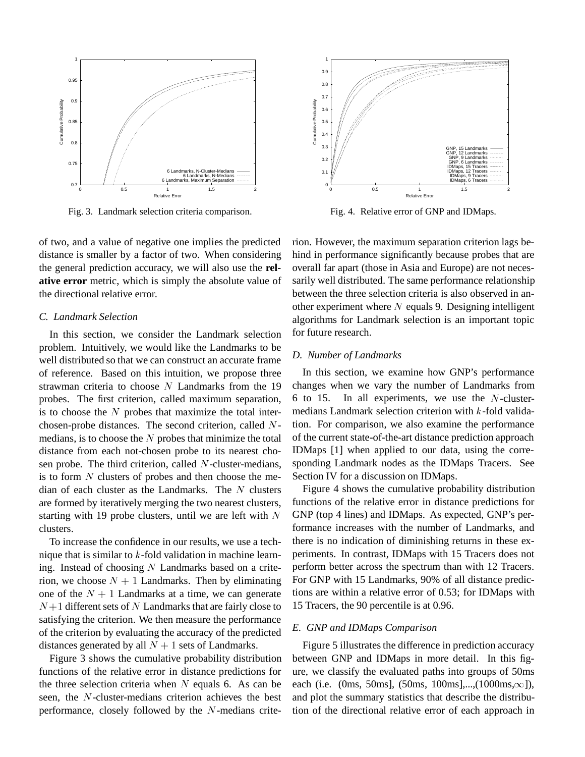

Fig. 3. Landmark selection criteria comparison.

of two, and a value of negative one implies the predicted distance is smaller by a factor of two. When considering the general prediction accuracy, we will also use the **relative error** metric, which is simply the absolute value of the directional relative error.

# *C. Landmark Selection*

In this section, we consider the Landmark selection problem. Intuitively, we would like the Landmarks to be well distributed so that we can construct an accurate frame of reference. Based on this intuition, we propose three strawman criteria to choose  $N$  Landmarks from the 19 probes. The first criterion, called maximum separation, is to choose the  $N$  probes that maximize the total interchosen-probe distances. The second criterion, called <sup>N</sup>medians, is to choose the  $N$  probes that minimize the total distance from each not-chosen probe to its nearest chosen probe. The third criterion, called  $N$ -cluster-medians, is to form  $N$  clusters of probes and then choose the median of each cluster as the Landmarks. The  $N$  clusters are formed by iteratively merging the two nearest clusters, starting with 19 probe clusters, until we are left with  $N$ clusters.

To increase the confidence in our results, we use a technique that is similar to  $k$ -fold validation in machine learning. Instead of choosing  $N$  Landmarks based on a criterion, we choose  $N + 1$  Landmarks. Then by eliminating one of the  $N + 1$  Landmarks at a time, we can generate  $N+1$  different sets of N Landmarks that are fairly close to satisfying the criterion. We then measure the performance of the criterion by evaluating the accuracy of the predicted distances generated by all  $N + 1$  sets of Landmarks.

Figure 3 shows the cumulative probability distribution functions of the relative error in distance predictions for the three selection criteria when  $N$  equals 6. As can be seen, the <sup>N</sup>-cluster-medians criterion achieves the best performance, closely followed by the  $N$ -medians crite-



Fig. 4. Relative error of GNP and IDMaps.

rion. However, the maximum separation criterion lags behind in performance significantly because probes that are overall far apart (those in Asia and Europe) are not necessarily well distributed. The same performance relationship between the three selection criteria is also observed in another experiment where  $N$  equals 9. Designing intelligent algorithms for Landmark selection is an important topic for future research.

# *D. Number of Landmarks*

In this section, we examine how GNP's performance changes when we vary the number of Landmarks from 6 to 15. In all experiments, we use the  $N$ -clustermedians Landmark selection criterion with <sup>k</sup>-fold validation. For comparison, we also examine the performance of the current state-of-the-art distance prediction approach IDMaps [1] when applied to our data, using the corresponding Landmark nodes as the IDMaps Tracers. See Section IV for a discussion on IDMaps.

Figure 4 shows the cumulative probability distribution functions of the relative error in distance predictions for GNP (top 4 lines) and IDMaps. As expected, GNP's performance increases with the number of Landmarks, and there is no indication of diminishing returns in these experiments. In contrast, IDMaps with 15 Tracers does not perform better across the spectrum than with 12 Tracers. For GNP with 15 Landmarks, 90% of all distance predictions are within a relative error of 0.53; for IDMaps with 15 Tracers, the 90 percentile is at 0.96.

#### *E. GNP and IDMaps Comparison*

Figure 5 illustrates the difference in prediction accuracy between GNP and IDMaps in more detail. In this figure, we classify the evaluated paths into groups of 50ms each (i.e. (0ms, 50ms), (50ms, 100ms),...,(1000ms, $\infty$ ]), and plot the summary statistics that describe the distribution of the directional relative error of each approach in